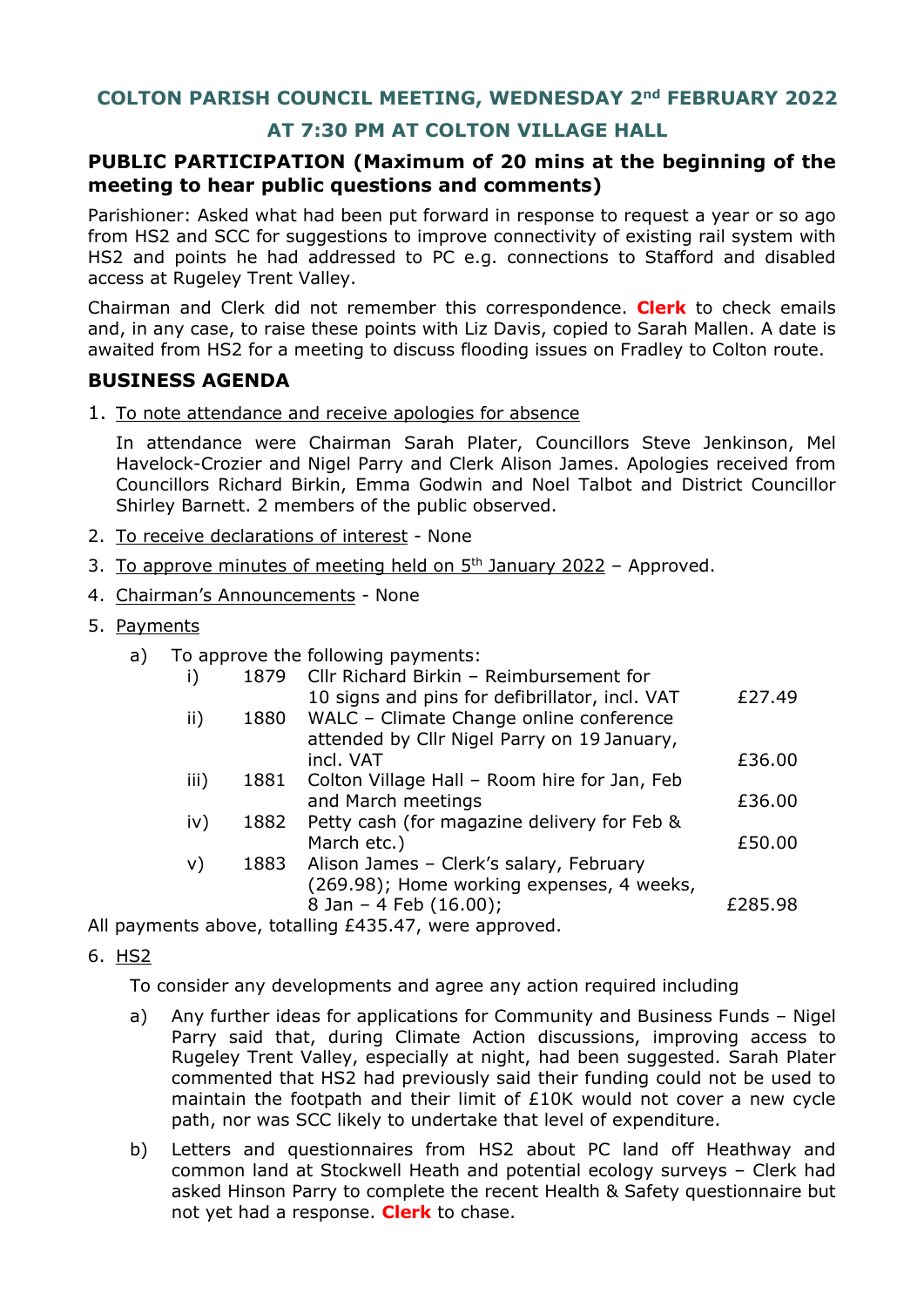# **AT 7:30 PM AT COLTON VILLAGE HALL**

## **PUBLIC PARTICIPATION (Maximum of 20 mins at the beginning of the meeting to hear public questions and comments)**

Parishioner: Asked what had been put forward in response to request a year or so ago from HS2 and SCC for suggestions to improve connectivity of existing rail system with HS2 and points he had addressed to PC e.g. connections to Stafford and disabled access at Rugeley Trent Valley.

Chairman and Clerk did not remember this correspondence. **Clerk** to check emails and, in any case, to raise these points with Liz Davis, copied to Sarah Mallen. A date is awaited from HS2 for a meeting to discuss flooding issues on Fradley to Colton route.

## **BUSINESS AGENDA**

1. To note attendance and receive apologies for absence

In attendance were Chairman Sarah Plater, Councillors Steve Jenkinson, Mel Havelock-Crozier and Nigel Parry and Clerk Alison James. Apologies received from Councillors Richard Birkin, Emma Godwin and Noel Talbot and District Councillor Shirley Barnett. 2 members of the public observed.

- 2. To receive declarations of interest None
- 3. To approve minutes of meeting held on  $5<sup>th</sup>$  January 2022 Approved.
- 4. Chairman's Announcements None
- 5. Payments
	- a) To approve the following payments:

| i)   | 1879 | Cllr Richard Birkin - Reimbursement for                                                                                                  |         |
|------|------|------------------------------------------------------------------------------------------------------------------------------------------|---------|
| ii)  | 1880 | 10 signs and pins for defibrillator, incl. VAT<br>WALC - Climate Change online conference<br>attended by Cllr Nigel Parry on 19 January, | £27.49  |
|      |      | incl. VAT                                                                                                                                | £36.00  |
| iii) | 1881 | Colton Village Hall - Room hire for Jan, Feb                                                                                             |         |
|      |      | and March meetings                                                                                                                       | £36.00  |
| iv)  | 1882 | Petty cash (for magazine delivery for Feb &                                                                                              |         |
|      |      | March etc.)                                                                                                                              | £50.00  |
| v)   | 1883 | Alison James - Clerk's salary, February                                                                                                  |         |
|      |      | (269.98); Home working expenses, 4 weeks,                                                                                                |         |
|      |      | 8 Jan - 4 Feb (16.00);                                                                                                                   | £285.98 |
|      |      |                                                                                                                                          |         |

All payments above, totalling £435.47, were approved.

6. HS2

To consider any developments and agree any action required including

- a) Any further ideas for applications for Community and Business Funds Nigel Parry said that, during Climate Action discussions, improving access to Rugeley Trent Valley, especially at night, had been suggested. Sarah Plater commented that HS2 had previously said their funding could not be used to maintain the footpath and their limit of £10K would not cover a new cycle path, nor was SCC likely to undertake that level of expenditure.
- b) Letters and questionnaires from HS2 about PC land off Heathway and common land at Stockwell Heath and potential ecology surveys – Clerk had asked Hinson Parry to complete the recent Health & Safety questionnaire but not yet had a response. **Clerk** to chase.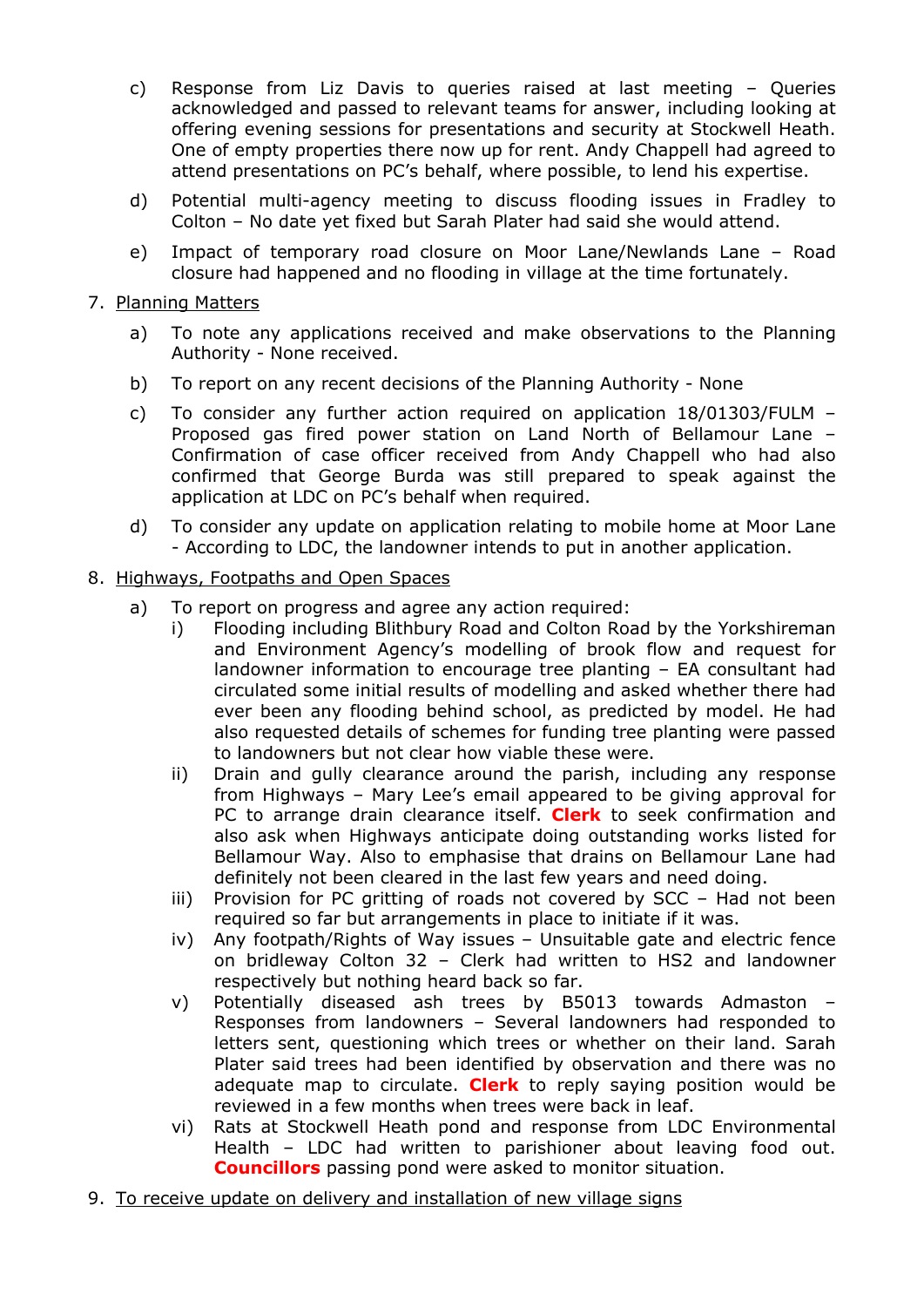- c) Response from Liz Davis to queries raised at last meeting Queries acknowledged and passed to relevant teams for answer, including looking at offering evening sessions for presentations and security at Stockwell Heath. One of empty properties there now up for rent. Andy Chappell had agreed to attend presentations on PC's behalf, where possible, to lend his expertise.
- d) Potential multi-agency meeting to discuss flooding issues in Fradley to Colton – No date yet fixed but Sarah Plater had said she would attend.
- e) Impact of temporary road closure on Moor Lane/Newlands Lane Road closure had happened and no flooding in village at the time fortunately.

## 7. Planning Matters

- a) To note any applications received and make observations to the Planning Authority - None received.
- b) To report on any recent decisions of the Planning Authority None
- c) To consider any further action required on application 18/01303/FULM Proposed gas fired power station on Land North of Bellamour Lane – Confirmation of case officer received from Andy Chappell who had also confirmed that George Burda was still prepared to speak against the application at LDC on PC's behalf when required.
- d) To consider any update on application relating to mobile home at Moor Lane - According to LDC, the landowner intends to put in another application.

## 8. Highways, Footpaths and Open Spaces

- a) To report on progress and agree any action required:
	- i) Flooding including Blithbury Road and Colton Road by the Yorkshireman and Environment Agency's modelling of brook flow and request for landowner information to encourage tree planting – EA consultant had circulated some initial results of modelling and asked whether there had ever been any flooding behind school, as predicted by model. He had also requested details of schemes for funding tree planting were passed to landowners but not clear how viable these were.
	- ii) Drain and gully clearance around the parish, including any response from Highways – Mary Lee's email appeared to be giving approval for PC to arrange drain clearance itself. **Clerk** to seek confirmation and also ask when Highways anticipate doing outstanding works listed for Bellamour Way. Also to emphasise that drains on Bellamour Lane had definitely not been cleared in the last few years and need doing.
	- iii) Provision for PC gritting of roads not covered by SCC Had not been required so far but arrangements in place to initiate if it was.
	- iv) Any footpath/Rights of Way issues Unsuitable gate and electric fence on bridleway Colton 32 – Clerk had written to HS2 and landowner respectively but nothing heard back so far.
	- v) Potentially diseased ash trees by B5013 towards Admaston Responses from landowners – Several landowners had responded to letters sent, questioning which trees or whether on their land. Sarah Plater said trees had been identified by observation and there was no adequate map to circulate. **Clerk** to reply saying position would be reviewed in a few months when trees were back in leaf.
	- vi) Rats at Stockwell Heath pond and response from LDC Environmental Health – LDC had written to parishioner about leaving food out. **Councillors** passing pond were asked to monitor situation.
- 9. To receive update on delivery and installation of new village signs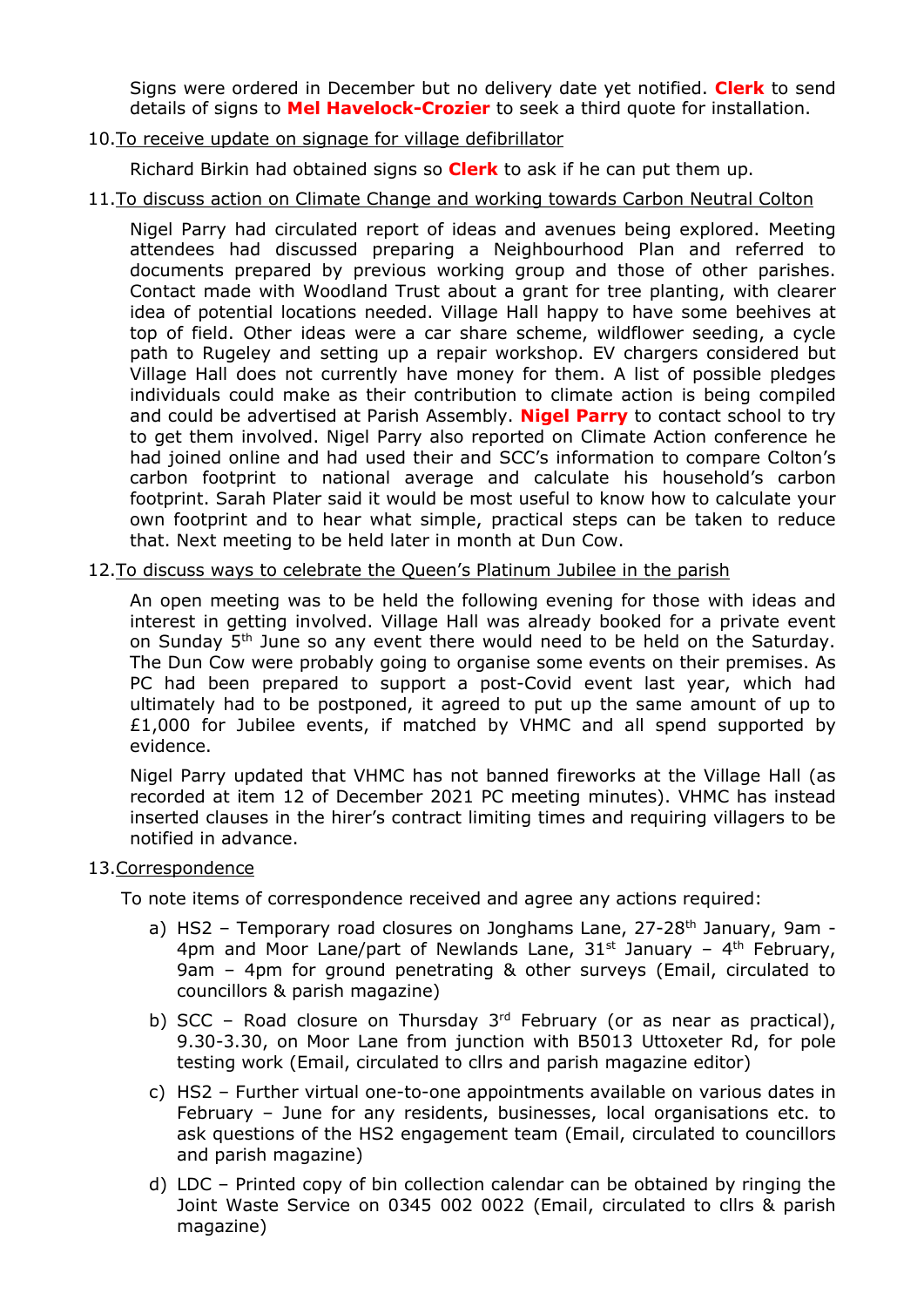Signs were ordered in December but no delivery date yet notified. **Clerk** to send details of signs to **Mel Havelock-Crozier** to seek a third quote for installation.

## 10.To receive update on signage for village defibrillator

Richard Birkin had obtained signs so **Clerk** to ask if he can put them up.

## 11.To discuss action on Climate Change and working towards Carbon Neutral Colton

Nigel Parry had circulated report of ideas and avenues being explored. Meeting attendees had discussed preparing a Neighbourhood Plan and referred to documents prepared by previous working group and those of other parishes. Contact made with Woodland Trust about a grant for tree planting, with clearer idea of potential locations needed. Village Hall happy to have some beehives at top of field. Other ideas were a car share scheme, wildflower seeding, a cycle path to Rugeley and setting up a repair workshop. EV chargers considered but Village Hall does not currently have money for them. A list of possible pledges individuals could make as their contribution to climate action is being compiled and could be advertised at Parish Assembly. **Nigel Parry** to contact school to try to get them involved. Nigel Parry also reported on Climate Action conference he had joined online and had used their and SCC's information to compare Colton's carbon footprint to national average and calculate his household's carbon footprint. Sarah Plater said it would be most useful to know how to calculate your own footprint and to hear what simple, practical steps can be taken to reduce that. Next meeting to be held later in month at Dun Cow.

## 12.To discuss ways to celebrate the Queen's Platinum Jubilee in the parish

An open meeting was to be held the following evening for those with ideas and interest in getting involved. Village Hall was already booked for a private event on Sunday 5th June so any event there would need to be held on the Saturday. The Dun Cow were probably going to organise some events on their premises. As PC had been prepared to support a post-Covid event last year, which had ultimately had to be postponed, it agreed to put up the same amount of up to £1,000 for Jubilee events, if matched by VHMC and all spend supported by evidence.

Nigel Parry updated that VHMC has not banned fireworks at the Village Hall (as recorded at item 12 of December 2021 PC meeting minutes). VHMC has instead inserted clauses in the hirer's contract limiting times and requiring villagers to be notified in advance.

#### 13.Correspondence

To note items of correspondence received and agree any actions required:

- a) HS2 Temporary road closures on Jonghams Lane, 27-28<sup>th</sup> January, 9am -4pm and Moor Lane/part of Newlands Lane,  $31<sup>st</sup>$  January – 4<sup>th</sup> February, 9am – 4pm for ground penetrating & other surveys (Email, circulated to councillors & parish magazine)
- b) SCC Road closure on Thursday  $3<sup>rd</sup>$  February (or as near as practical), 9.30-3.30, on Moor Lane from junction with B5013 Uttoxeter Rd, for pole testing work (Email, circulated to cllrs and parish magazine editor)
- c) HS2 Further virtual one-to-one appointments available on various dates in February – June for any residents, businesses, local organisations etc. to ask questions of the HS2 engagement team (Email, circulated to councillors and parish magazine)
- d) LDC Printed copy of bin collection calendar can be obtained by ringing the Joint Waste Service on 0345 002 0022 (Email, circulated to cllrs & parish magazine)